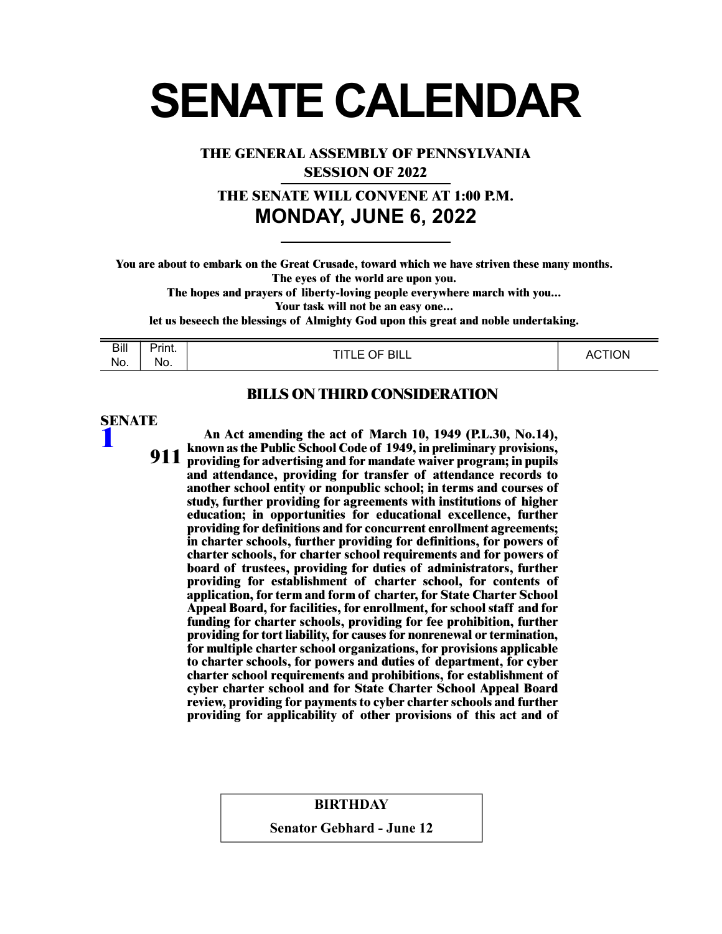# **SENATE CALENDAR**

**THE GENERAL ASSEMBLY OF PENNSYLVANIA**

**SESSION OF 2022**

**THE SENATE WILL CONVENE AT 1:00 P.M. MONDAY, JUNE 6, 2022**

**You are about to embark on the Great Crusade, toward which we have striven these many months. The eyes of the world are upon you.** 

**The hopes and prayers of liberty-loving people everywhere march with you...** 

**Your task will not be an easy one...** 

**let us beseech the blessings of Almighty God upon this great and noble undertaking.** 

| <b>Bill</b> | - -<br>Print. | $C$ OF BILL<br>דוד | <b>TION</b><br>Λ1<br>$\sim$ |
|-------------|---------------|--------------------|-----------------------------|
| No.         | No.           | ––                 |                             |

#### **BILLS ON THIRD CONSIDERATION**

# **SENATE [1](/cfdocs/billinfo/billinfo.cfm?syear=2021&sind=0&body=S&type=B&bn=1)**

**An Act amending the act of March 10, 1949 (P.L.30, No.14), known as the Public School Code of 1949, in preliminary provisions, providing for advertising and for mandate waiver program; in pupils and attendance, providing for transfer of attendance records to another school entity or nonpublic school; in terms and courses of study, further providing for agreements with institutions of higher 911 education; in opportunities for educational excellence, further providing for definitions and for concurrent enrollment agreements; in charter schools, further providing for definitions, for powers of charter schools, for charter school requirements and for powers of board of trustees, providing for duties of administrators, further providing for establishment of charter school, for contents of application, for term and form of charter, for State Charter School Appeal Board, for facilities, for enrollment, for school staff and for funding for charter schools, providing for fee prohibition, further providing for tort liability, for causes for nonrenewal or termination, for multiple charter school organizations, for provisions applicable to charter schools, for powers and duties of department, for cyber charter school requirements and prohibitions, for establishment of cyber charter school and for State Charter School Appeal Board review, providing for payments to cyber charter schools and further providing for applicability of other provisions of this act and of**

#### **BIRTHDAY**

**Senator Gebhard - June 12**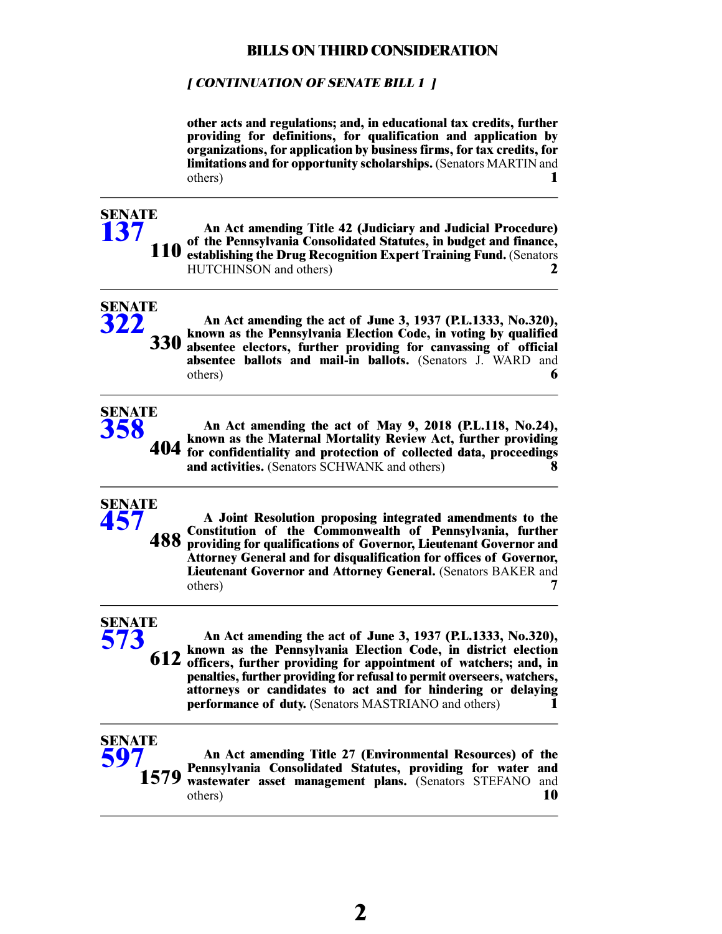#### **[ CONTINUATION OF SENATE BILL 1 ]**

**other acts and regulations; and, in educational tax credits, further providing for definitions, for qualification and application by organizations, for application by business firms, for tax credits, for limitations and for opportunity scholarships.** (Senators MARTIN and others) **1**

# **SENATE [137](/cfdocs/billinfo/billinfo.cfm?syear=2021&sind=0&body=S&type=B&bn=137)**

**SENATE [322](/cfdocs/billinfo/billinfo.cfm?syear=2021&sind=0&body=S&type=B&bn=322)**

**SENATE [358](/cfdocs/billinfo/billinfo.cfm?syear=2021&sind=0&body=S&type=B&bn=358)**

**An Act amending Title 42 (Judiciary and Judicial Procedure) of the Pennsylvania Consolidated Statutes, in budget and finance, establishing the Drug Recognition Expert Training Fund.** (Senators **110** HUTCHINSON and others) **2**

**An Act amending the act of June 3, 1937 (P.L.1333, No.320), known as the Pennsylvania Election Code, in voting by qualified absentee electors, further providing for canvassing of official absentee ballots and mail-in ballots.** (Senators J. WARD and others) **6 330**

**An Act amending the act of May 9, 2018 (P.L.118, No.24), known as the Maternal Mortality Review Act, further providing for confidentiality and protection of collected data, proceedings and activities.** (Senators SCHWANK and others) **8 404**

# **SENATE [457](/cfdocs/billinfo/billinfo.cfm?syear=2021&sind=0&body=S&type=B&bn=457) 488**

**A Joint Resolution proposing integrated amendments to the Constitution of the Commonwealth of Pennsylvania, further providing for qualifications of Governor, Lieutenant Governor and Attorney General and for disqualification for offices of Governor, Lieutenant Governor and Attorney General.** (Senators BAKER and others) **7**

# **SENATE [573](/cfdocs/billinfo/billinfo.cfm?syear=2021&sind=0&body=S&type=B&bn=573)**

**An Act amending the act of June 3, 1937 (P.L.1333, No.320), known as the Pennsylvania Election Code, in district election 612 officers, further providing for appointment of watchers; and, in penalties, further providing for refusal to permit overseers, watchers, attorneys or candidates to act and for hindering or delaying performance of duty.** (Senators MASTRIANO and others) **1**



**An Act amending Title 27 (Environmental Resources) of the Pennsylvania Consolidated Statutes, providing for water and wastewater asset management plans.** (Senators STEFANO and others) **10**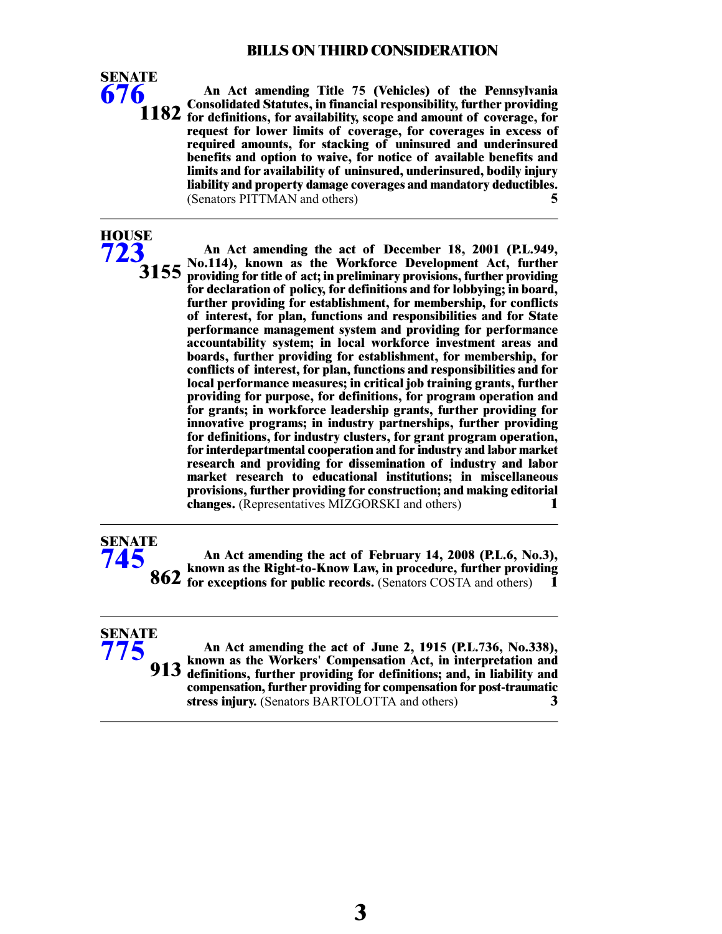**An Act amending Title 75 (Vehicles) of the Pennsylvania Consolidated Statutes, in financial responsibility, further providing for definitions, for availability, scope and amount of coverage, for request for lower limits of coverage, for coverages in excess of required amounts, for stacking of uninsured and underinsured benefits and option to waive, for notice of available benefits and limits and for availability of uninsured, underinsured, bodily injury liability and property damage coverages and mandatory deductibles.** (Senators PITTMAN and others) **5**

**SENATE [676](/cfdocs/billinfo/billinfo.cfm?syear=2021&sind=0&body=S&type=B&bn=676)**

**HOUSE [723](/cfdocs/billinfo/billinfo.cfm?syear=2021&sind=0&body=H&type=B&bn=723)**

**SENATE [745](/cfdocs/billinfo/billinfo.cfm?syear=2021&sind=0&body=S&type=B&bn=745)**

**SENATE [775](/cfdocs/billinfo/billinfo.cfm?syear=2021&sind=0&body=S&type=B&bn=775)**

**An Act amending the act of December 18, 2001 (P.L.949, No.114), known as the Workforce Development Act, further providing for title of act; in preliminary provisions, further providing for declaration of policy, for definitions and for lobbying; in board, further providing for establishment, for membership, for conflicts of interest, for plan, functions and responsibilities and for State 3155 performance management system and providing for performance accountability system; in local workforce investment areas and boards, further providing for establishment, for membership, for conflicts of interest, for plan, functions and responsibilities and for local performance measures; in critical job training grants, further providing for purpose, for definitions, for program operation and for grants; in workforce leadership grants, further providing for innovative programs; in industry partnerships, further providing for definitions, for industry clusters, for grant program operation, for interdepartmental cooperation and for industry and labor market research and providing for dissemination of industry and labor market research to educational institutions; in miscellaneous provisions, further providing for construction; and making editorial changes.** (Representatives MIZGORSKI and others) **1**

**An Act amending the act of February 14, 2008 (P.L.6, No.3), known as the Right-to-Know Law, in procedure, further providing for exceptions for public records.** (Senators COSTA and others) **1** 

**An Act amending the act of June 2, 1915 (P.L.736, No.338), known as the Workers' Compensation Act, in interpretation and definitions, further providing for definitions; and, in liability and compensation, further providing for compensation for post-traumatic stress injury.** (Senators BARTOLOTTA and others) **3 913**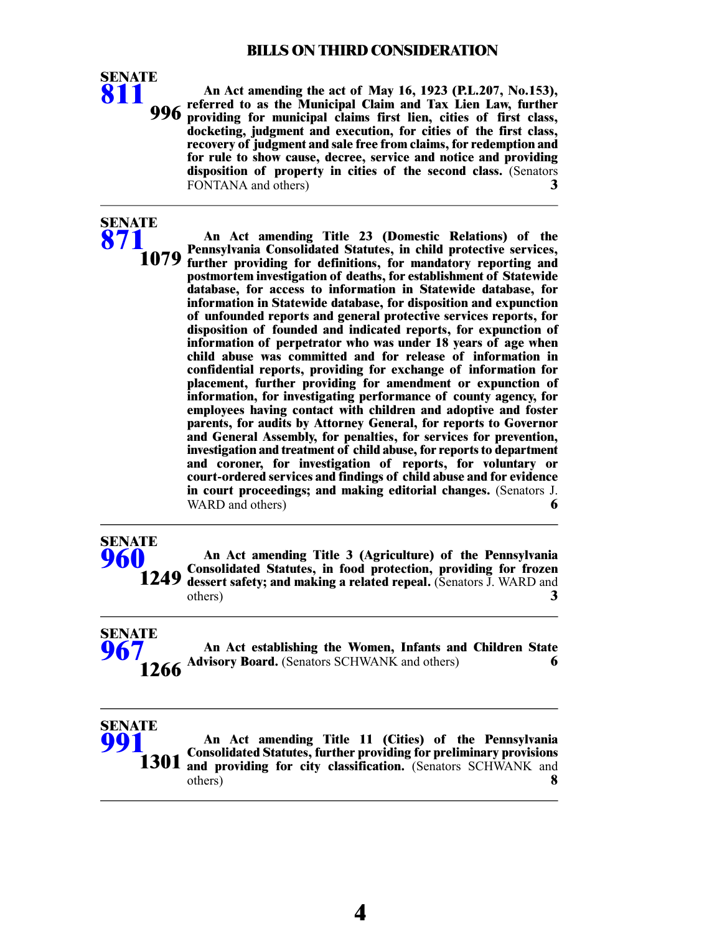

**An Act amending Title 23 (Domestic Relations) of the Pennsylvania Consolidated Statutes, in child protective services, further providing for definitions, for mandatory reporting and postmortem investigation of deaths, for establishment of Statewide database, for access to information in Statewide database, for information in Statewide database, for disposition and expunction 1079 of unfounded reports and general protective services reports, for disposition of founded and indicated reports, for expunction of information of perpetrator who was under 18 years of age when child abuse was committed and for release of information in confidential reports, providing for exchange of information for placement, further providing for amendment or expunction of information, for investigating performance of county agency, for employees having contact with children and adoptive and foster parents, for audits by Attorney General, for reports to Governor and General Assembly, for penalties, for services for prevention, investigation and treatment of child abuse, for reports to department and coroner, for investigation of reports, for voluntary or court-ordered services and findings of child abuse and for evidence in court proceedings; and making editorial changes.** (Senators J. WARD and others) **6** 

## **SENATE [960](/cfdocs/billinfo/billinfo.cfm?syear=2021&sind=0&body=S&type=B&bn=960)**

**SENATE [871](/cfdocs/billinfo/billinfo.cfm?syear=2021&sind=0&body=S&type=B&bn=871)**

> **An Act amending Title 3 (Agriculture) of the Pennsylvania Consolidated Statutes, in food protection, providing for frozen dessert safety; and making a related repeal.** (Senators J. WARD and others) 3 others) **3 1249**

**An Act establishing the Women, Infants and Children State Advisory Board.** (Senators SCHWANK and others) 6 **SENATE [967](/cfdocs/billinfo/billinfo.cfm?syear=2021&sind=0&body=S&type=B&bn=967)**

# **SENATE [991](/cfdocs/billinfo/billinfo.cfm?syear=2021&sind=0&body=S&type=B&bn=991) 1301**

**An Act amending Title 11 (Cities) of the Pennsylvania Consolidated Statutes, further providing for preliminary provisions and providing for city classification.** (Senators SCHWANK and others) **8**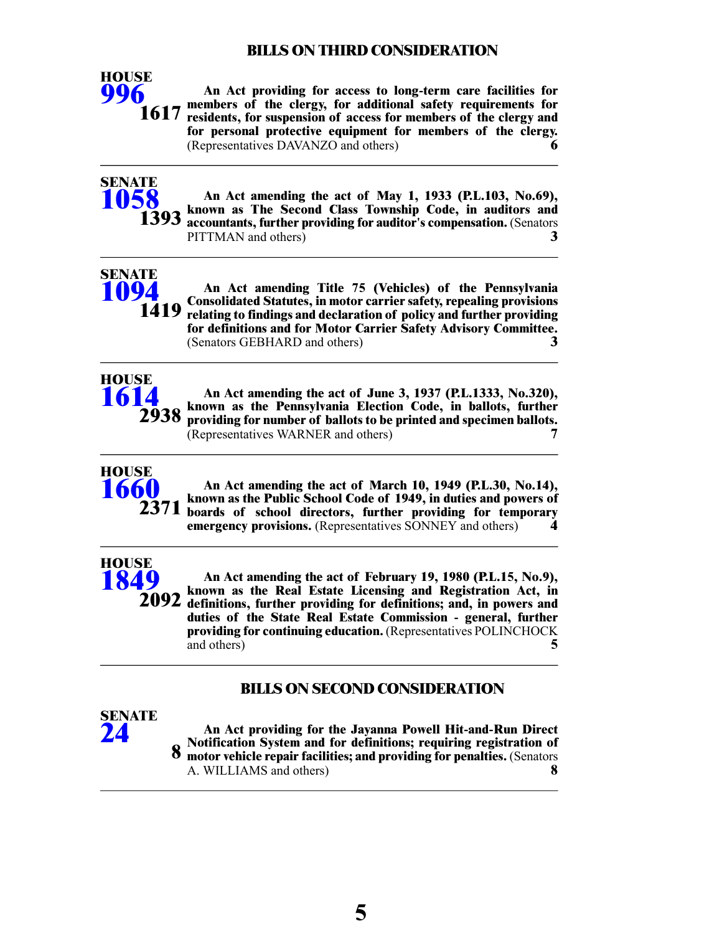**An Act providing for access to long-term care facilities for members of the clergy, for additional safety requirements for residents, for suspension of access for members of the clergy and for personal protective equipment for members of the clergy.** (Representatives DAVANZO and others) **6 1617**



**SENATE [1094](/cfdocs/billinfo/billinfo.cfm?syear=2021&sind=0&body=S&type=B&bn=1094)**

**HOUSE [996](/cfdocs/billinfo/billinfo.cfm?syear=2021&sind=0&body=H&type=B&bn=996)**

> **An Act amending the act of May 1, 1933 (P.L.103, No.69), known as The Second Class Township Code, in auditors and accountants, further providing for auditor's compensation.** (Senators PITTMAN and others) **3**

**An Act amending Title 75 (Vehicles) of the Pennsylvania Consolidated Statutes, in motor carrier safety, repealing provisions relating to findings and declaration of policy and further providing for definitions and for Motor Carrier Safety Advisory Committee.** (Senators GEBHARD and others) **3 1419**



**An Act amending the act of June 3, 1937 (P.L.1333, No.320), known as the Pennsylvania Election Code, in ballots, further providing for number of ballots to be printed and specimen ballots.** (Representatives WARNER and others) **7**



**An Act amending the act of March 10, 1949 (P.L.30, No.14), known as the Public School Code of 1949, in duties and powers of boards of school directors, further providing for temporary emergency provisions.** (Representatives SONNEY and others) **4**



**An Act amending the act of February 19, 1980 (P.L.15, No.9), known as the Real Estate Licensing and Registration Act, in definitions, further providing for definitions; and, in powers and 2092 duties of the State Real Estate Commission - general, further providing for continuing education.** (Representatives POLINCHOCK and others) **5**

# **BILLS ON SECOND CONSIDERATION**



**An Act providing for the Jayanna Powell Hit-and-Run Direct Notification System and for definitions; requiring registration of motor vehicle repair facilities; and providing for penalties.** (Senators A. WILLIAMS and others) **8 8**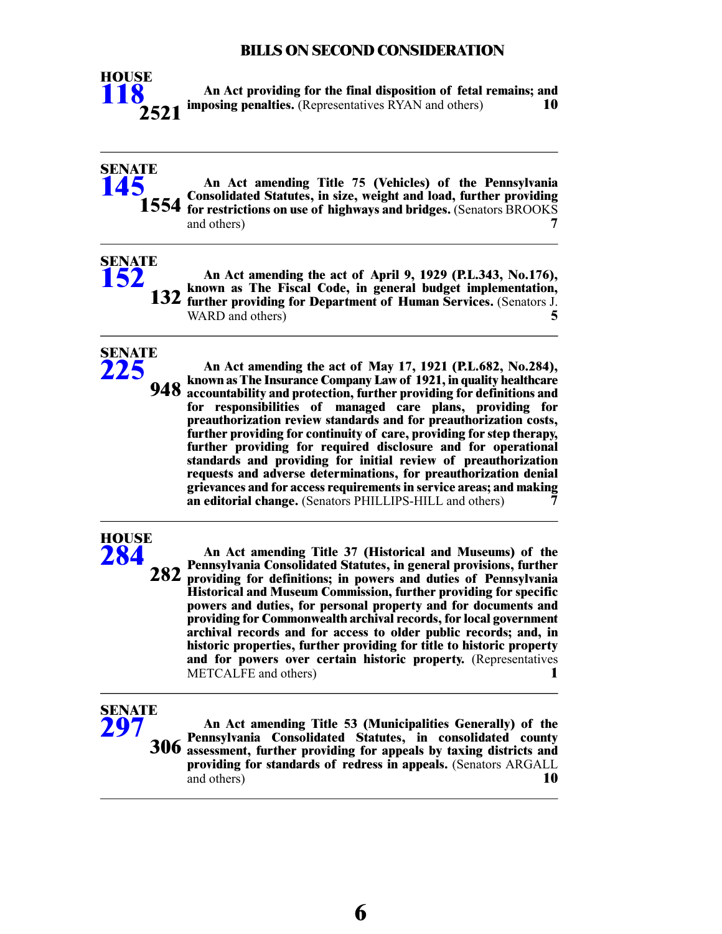

**An Act providing for the final disposition of fetal remains; and imposing penalties.** (Representatives RYAN and others) **10**

#### **An Act amending Title 75 (Vehicles) of the Pennsylvania Consolidated Statutes, in size, weight and load, further providing for restrictions on use of highways and bridges.** (Senators BROOKS and others) and others) **7 SENATE [145](/cfdocs/billinfo/billinfo.cfm?syear=2021&sind=0&body=S&type=B&bn=145) 1554**

**An Act amending the act of April 9, 1929 (P.L.343, No.176), known as The Fiscal Code, in general budget implementation, further providing for Department of Human Services.** (Senators J. WARD and others) **5 132**



**SENATE [152](/cfdocs/billinfo/billinfo.cfm?syear=2021&sind=0&body=S&type=B&bn=152)**

> **An Act amending the act of May 17, 1921 (P.L.682, No.284), known as The Insurance Company Law of 1921, in quality healthcare accountability and protection, further providing for definitions and for responsibilities of managed care plans, providing for preauthorization review standards and for preauthorization costs, further providing for continuity of care, providing for step therapy, 948 further providing for required disclosure and for operational standards and providing for initial review of preauthorization requests and adverse determinations, for preauthorization denial grievances and for access requirements in service areas; and making an editorial change.** (Senators PHILLIPS-HILL and others) **7**

# **HOUSE [284](/cfdocs/billinfo/billinfo.cfm?syear=2021&sind=0&body=H&type=B&bn=284)**

**An Act amending Title 37 (Historical and Museums) of the Pennsylvania Consolidated Statutes, in general provisions, further providing for definitions; in powers and duties of Pennsylvania 282 Historical and Museum Commission, further providing for specific powers and duties, for personal property and for documents and providing for Commonwealth archival records, for local government archival records and for access to older public records; and, in historic properties, further providing for title to historic property and for powers over certain historic property.** (Representatives METCALFE and others) **1**

# **SENATE [297](/cfdocs/billinfo/billinfo.cfm?syear=2021&sind=0&body=S&type=B&bn=297)**

**An Act amending Title 53 (Municipalities Generally) of the Pennsylvania Consolidated Statutes, in consolidated county assessment, further providing for appeals by taxing districts and providing for standards of redress in appeals.** (Senators ARGALL and others) **10 306**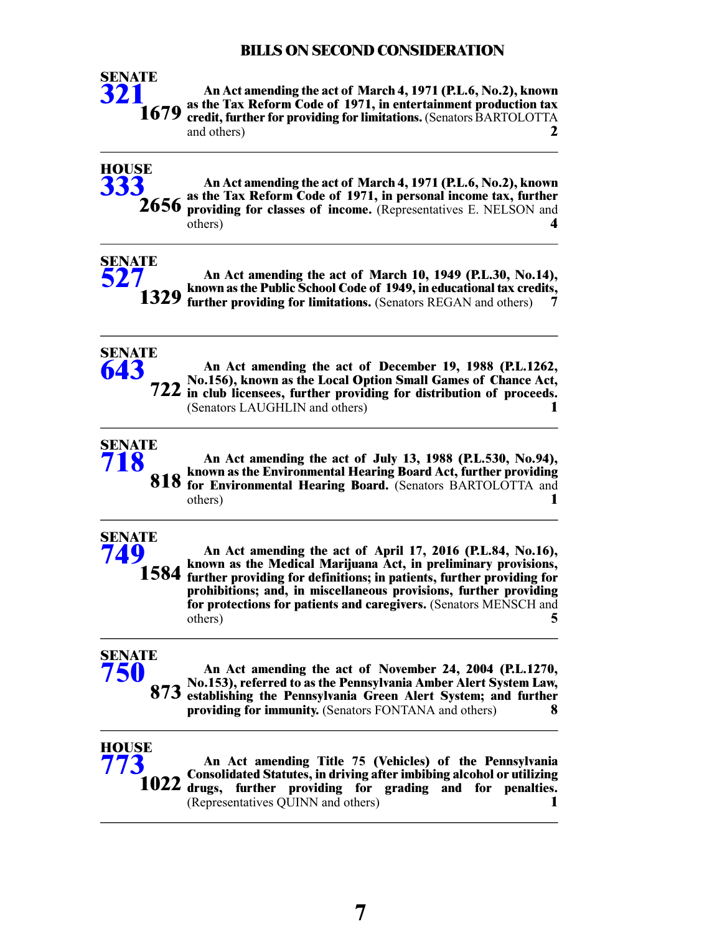

**An Act amending the act of March 4, 1971 (P.L.6, No.2), known as the Tax Reform Code of 1971, in entertainment production tax credit, further for providing for limitations.** (Senators BARTOLOTTA and others) **2**



**An Act amending the act of March 10, 1949 (P.L.30, No.14), known as the Public School Code of 1949, in educational tax credits, further providing for limitations.** (Senators REGAN and others) **7 SENATE 1329**



**[527](/cfdocs/billinfo/billinfo.cfm?syear=2021&sind=0&body=S&type=B&bn=527)**

**An Act amending the act of December 19, 1988 (P.L.1262, No.156), known as the Local Option Small Games of Chance Act, in club licensees, further providing for distribution of proceeds.** (Senators LAUGHLIN and others) **1**



**An Act amending the act of July 13, 1988 (P.L.530, No.94), known as the Environmental Hearing Board Act, further providing for Environmental Hearing Board.** (Senators BARTOLOTTA and others) **1**

#### **SENATE [749](/cfdocs/billinfo/billinfo.cfm?syear=2021&sind=0&body=S&type=B&bn=749)**

**An Act amending the act of April 17, 2016 (P.L.84, No.16), known as the Medical Marijuana Act, in preliminary provisions, further providing for definitions; in patients, further providing for prohibitions; and, in miscellaneous provisions, further providing for protections for patients and caregivers.** (Senators MENSCH and others) **5 1584**

#### **SENATE [750](/cfdocs/billinfo/billinfo.cfm?syear=2021&sind=0&body=S&type=B&bn=750)**

**An Act amending the act of November 24, 2004 (P.L.1270, No.153), referred to as the Pennsylvania Amber Alert System Law, establishing the Pennsylvania Green Alert System; and further providing for immunity.** (Senators FONTANA and others) **8 873**



**An Act amending Title 75 (Vehicles) of the Pennsylvania Consolidated Statutes, in driving after imbibing alcohol or utilizing drugs, further providing for grading and for penalties.** (Representatives QUINN and others) **1 1022**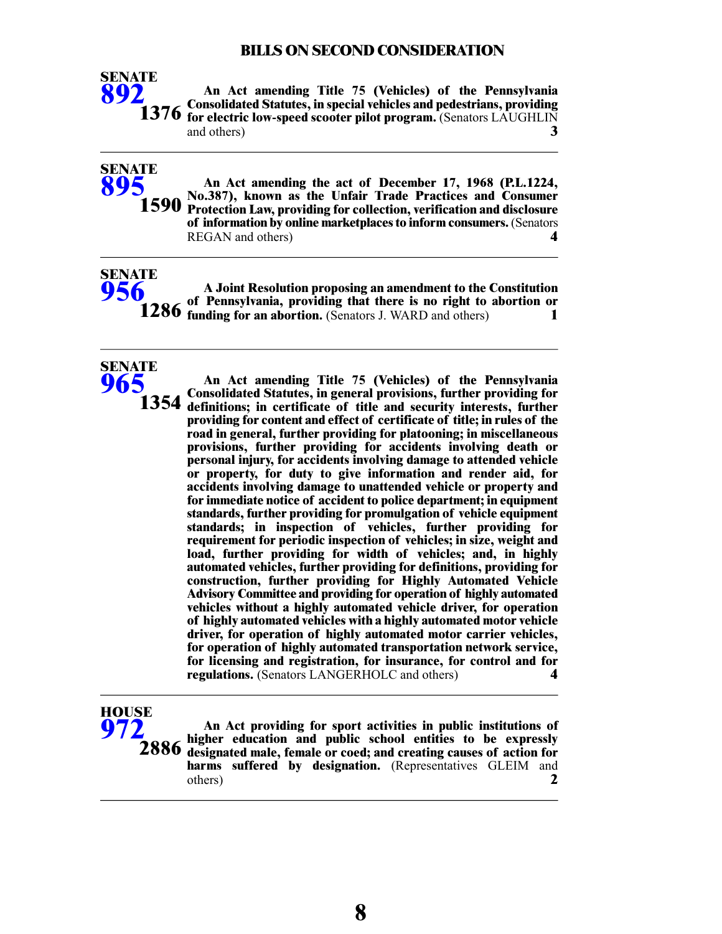

**SENATE [895](/cfdocs/billinfo/billinfo.cfm?syear=2021&sind=0&body=S&type=B&bn=895)**

**An Act amending Title 75 (Vehicles) of the Pennsylvania Consolidated Statutes, in special vehicles and pedestrians, providing for electric low-speed scooter pilot program.** (Senators LAUGHLIN and others) **3**

**An Act amending the act of December 17, 1968 (P.L.1224, No.387), known as the Unfair Trade Practices and Consumer 1590** Protection Law, providing for collection, verification and disclosure **of information by online marketplaces to inform consumers.**(Senators REGAN and others) **4**

**A Joint Resolution proposing an amendment to the Constitution of Pennsylvania, providing that there is no right to abortion or funding for an abortion.** (Senators J. WARD and others) **1 SENATE**

**SENATE [965](/cfdocs/billinfo/billinfo.cfm?syear=2021&sind=0&body=S&type=B&bn=965) 1354**

**[956](/cfdocs/billinfo/billinfo.cfm?syear=2021&sind=0&body=S&type=B&bn=956)**

**An Act amending Title 75 (Vehicles) of the Pennsylvania Consolidated Statutes, in general provisions, further providing for definitions; in certificate of title and security interests, further providing for content and effect of certificate of title; in rules of the road in general, further providing for platooning; in miscellaneous provisions, further providing for accidents involving death or personal injury, for accidents involving damage to attended vehicle or property, for duty to give information and render aid, for accidents involving damage to unattended vehicle or property and for immediate notice of accident to police department; in equipment standards, further providing for promulgation of vehicle equipment standards; in inspection of vehicles, further providing for requirement for periodic inspection of vehicles; in size, weight and load, further providing for width of vehicles; and, in highly automated vehicles, further providing for definitions, providing for construction, further providing for Highly Automated Vehicle Advisory Committee and providing for operation of highly automated vehicles without a highly automated vehicle driver, for operation of highly automated vehicles with a highly automated motor vehicle driver, for operation of highly automated motor carrier vehicles, for operation of highly automated transportation network service, for licensing and registration, for insurance, for control and for regulations.** (Senators LANGERHOLC and others) **4**

# **HOUSE [972](/cfdocs/billinfo/billinfo.cfm?syear=2021&sind=0&body=H&type=B&bn=972)**

**An Act providing for sport activities in public institutions of higher education and public school entities to be expressly designated male, female or coed; and creating causes of action for** harms suffered by designation. (Representatives GLEIM and others) **2 2886**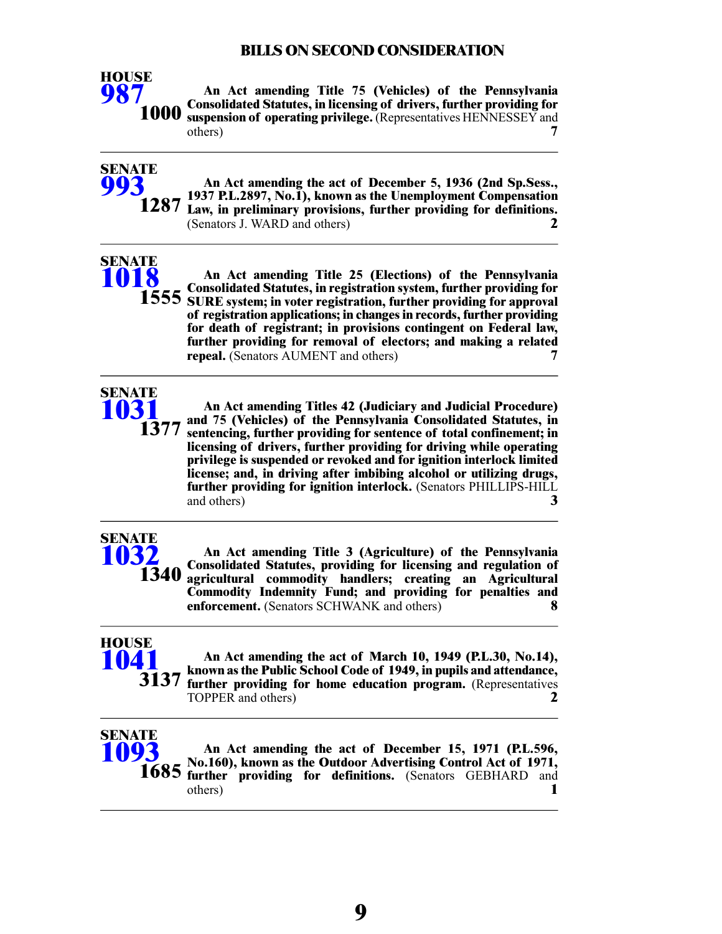

**SENATE [993](/cfdocs/billinfo/billinfo.cfm?syear=2021&sind=0&body=S&type=B&bn=993)**

**An Act amending Title 75 (Vehicles) of the Pennsylvania Consolidated Statutes, in licensing of drivers, further providing for suspension of operating privilege.** (Representatives HENNESSEY and others) **7**

**An Act amending the act of December 5, 1936 (2nd Sp.Sess., 1937 P.L.2897, No.1), known as the Unemployment Compensation 1287** Law, in preliminary provisions, further providing for definitions. (Senators J. WARD and others) **2**

# **SENATE [1018](/cfdocs/billinfo/billinfo.cfm?syear=2021&sind=0&body=S&type=B&bn=1018)**

**An Act amending Title 25 (Elections) of the Pennsylvania Consolidated Statutes, in registration system, further providing for 1555** SURE system; in voter registration, further providing for approval **of registration applications; in changes in records, further providing for death of registrant; in provisions contingent on Federal law, further providing for removal of electors; and making a related repeal.** (Senators AUMENT and others) **7**



**An Act amending Titles 42 (Judiciary and Judicial Procedure) and 75 (Vehicles) of the Pennsylvania Consolidated Statutes, in sentencing, further providing for sentence of total confinement; in licensing of drivers, further providing for driving while operating privilege is suspended or revoked and for ignition interlock limited license; and, in driving after imbibing alcohol or utilizing drugs, further providing for ignition interlock.** (Senators PHILLIPS-HILL and others) **3**

# **SENATE [1032](/cfdocs/billinfo/billinfo.cfm?syear=2021&sind=0&body=S&type=B&bn=1032) 1340**

**An Act amending Title 3 (Agriculture) of the Pennsylvania Consolidated Statutes, providing for licensing and regulation of agricultural commodity handlers; creating an Agricultural Commodity Indemnity Fund; and providing for penalties and enforcement.** (Senators SCHWANK and others) **8**



**An Act amending the act of March 10, 1949 (P.L.30, No.14), known as the Public School Code of 1949, in pupils and attendance, further providing for home education program.** (Representatives TOPPER and others) **2**



**An Act amending the act of December 15, 1971 (P.L.596, No.160), known as the Outdoor Advertising Control Act of 1971, further providing for definitions.** (Senators GEBHARD and others) **1**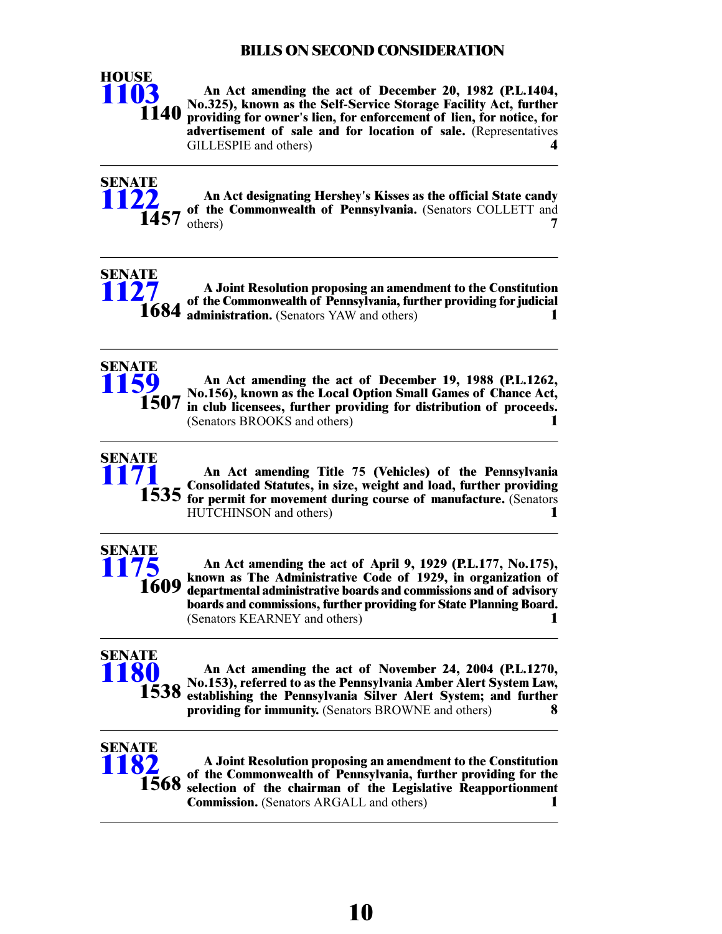

**An Act amending the act of December 20, 1982 (P.L.1404, No.325), known as the Self-Service Storage Facility Act, further providing for owner's lien, for enforcement of lien, for notice, for advertisement of sale and for location of sale.** (Representatives GILLESPIE and others) **4**



**An Act designating Hershey's Kisses as the official State candy of the Commonwealth of Pennsylvania.** (Senators COLLETT and **1457** others) **7** 





**An Act amending the act of December 19, 1988 (P.L.1262, No.156), known as the Local Option Small Games of Chance Act, in club licensees, further providing for distribution of proceeds.** (Senators BROOKS and others) **1**



**An Act amending Title 75 (Vehicles) of the Pennsylvania Consolidated Statutes, in size, weight and load, further providing for permit for movement during course of manufacture.** (Senators HUTCHINSON and others) **1**



**An Act amending the act of April 9, 1929 (P.L.177, No.175), known as The Administrative Code of 1929, in organization of departmental administrative boards and commissions and of advisory boards and commissions, further providing for State Planning Board.** (Senators KEARNEY and others) **1**

# **SENATE [1180](/cfdocs/billinfo/billinfo.cfm?syear=2021&sind=0&body=S&type=B&bn=1180) 1538**

**An Act amending the act of November 24, 2004 (P.L.1270, No.153), referred to as the Pennsylvania Amber Alert System Law, establishing the Pennsylvania Silver Alert System; and further providing for immunity.** (Senators BROWNE and others) **8**



**A Joint Resolution proposing an amendment to the Constitution of the Commonwealth of Pennsylvania, further providing for the selection of the chairman of the Legislative Reapportionment Commission.** (Senators ARGALL and others) **1**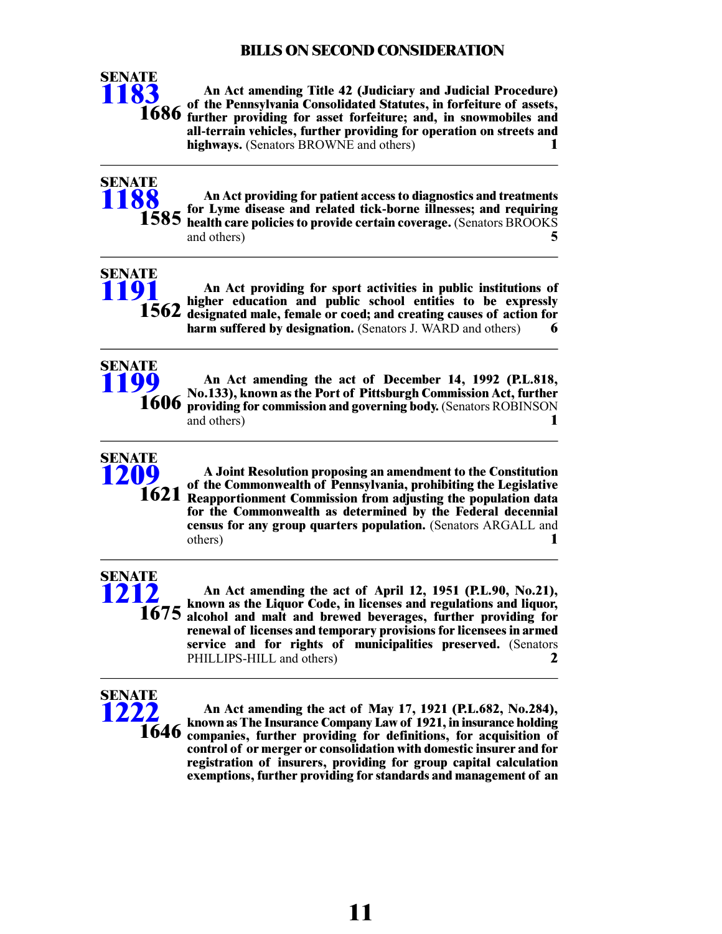

**SENATE [1188](/cfdocs/billinfo/billinfo.cfm?syear=2021&sind=0&body=S&type=B&bn=1188)**

**An Act amending Title 42 (Judiciary and Judicial Procedure) of the Pennsylvania Consolidated Statutes, in forfeiture of assets, further providing for asset forfeiture; and, in snowmobiles and all-terrain vehicles, further providing for operation on streets and highways.** (Senators BROWNE and others) **1**

**An Act providing for patient access to diagnostics and treatments for Lyme disease and related tick-borne illnesses; and requiring health care policies to provide certain coverage.** (Senators BROOKS and others) **5 1585**



**An Act providing for sport activities in public institutions of higher education and public school entities to be expressly designated male, female or coed; and creating causes of action for harm suffered by designation.** (Senators J. WARD and others) **6**



**An Act amending the act of December 14, 1992 (P.L.818, No.133), known as the Port of Pittsburgh Commission Act, further providing for commission and governing body.** (Senators ROBINSON and others) **1**



**A Joint Resolution proposing an amendment to the Constitution of the Commonwealth of Pennsylvania, prohibiting the Legislative Reapportionment Commission from adjusting the population data for the Commonwealth as determined by the Federal decennial census for any group quarters population.** (Senators ARGALL and others) **1**

# **SENATE [1212](/cfdocs/billinfo/billinfo.cfm?syear=2021&sind=0&body=S&type=B&bn=1212)**

**An Act amending the act of April 12, 1951 (P.L.90, No.21), known as the Liquor Code, in licenses and regulations and liquor, 1675** alcohol and malt and brewed beverages, further providing for **renewal of licenses and temporary provisions for licensees in armed service and for rights of municipalities preserved.** (Senators PHILLIPS-HILL and others) **2**

# **SENATE [1222](/cfdocs/billinfo/billinfo.cfm?syear=2021&sind=0&body=S&type=B&bn=1222) 1646**

**An Act amending the act of May 17, 1921 (P.L.682, No.284), known as The Insurance Company Law of 1921, in insurance holding companies, further providing for definitions, for acquisition of control of or merger or consolidation with domestic insurer and for registration of insurers, providing for group capital calculation exemptions, further providing for standards and management of an**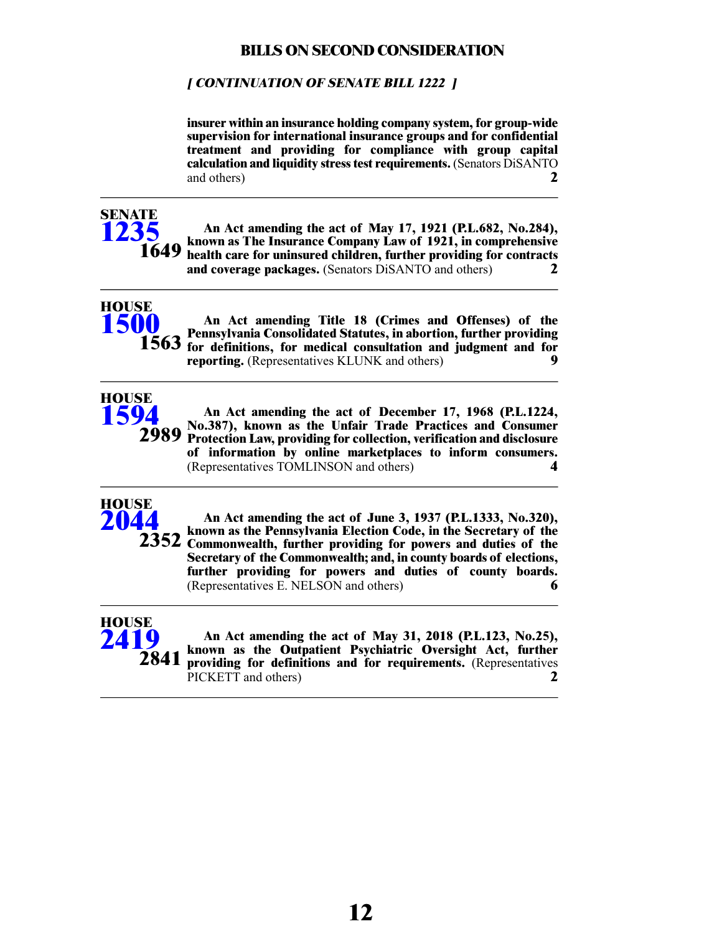#### **[ CONTINUATION OF SENATE BILL 1222 ]**

**insurer within an insurance holding company system, for group-wide supervision for international insurance groups and for confidential treatment and providing for compliance with group capital calculation and liquidity stress test requirements.** (Senators DiSANTO and others) **2**



**An Act amending the act of May 17, 1921 (P.L.682, No.284), known as The Insurance Company Law of 1921, in comprehensive health care for uninsured children, further providing for contracts and coverage packages.** (Senators DiSANTO and others) **2**



**HOUSE [1500](/cfdocs/billinfo/billinfo.cfm?syear=2021&sind=0&body=H&type=B&bn=1500)**

**An Act amending Title 18 (Crimes and Offenses) of the Pennsylvania Consolidated Statutes, in abortion, further providing for definitions, for medical consultation and judgment and for reporting.** (Representatives KLUNK and others) **9**



**An Act amending the act of December 17, 1968 (P.L.1224, No.387), known as the Unfair Trade Practices and Consumer Protection Law, providing for collection, verification and disclosure of information by online marketplaces to inform consumers.** (Representatives TOMLINSON and others) **4**



**An Act amending the act of June 3, 1937 (P.L.1333, No.320), known as the Pennsylvania Election Code, in the Secretary of the** 2352 Commonwealth, further providing for powers and duties of the **Secretary of the Commonwealth; and, in county boards of elections, further providing for powers and duties of county boards.** (Representatives E. NELSON and others) **6**



**An Act amending the act of May 31, 2018 (P.L.123, No.25), known as the Outpatient Psychiatric Oversight Act, further providing for definitions and for requirements.** (Representatives PICKETT and others) **2**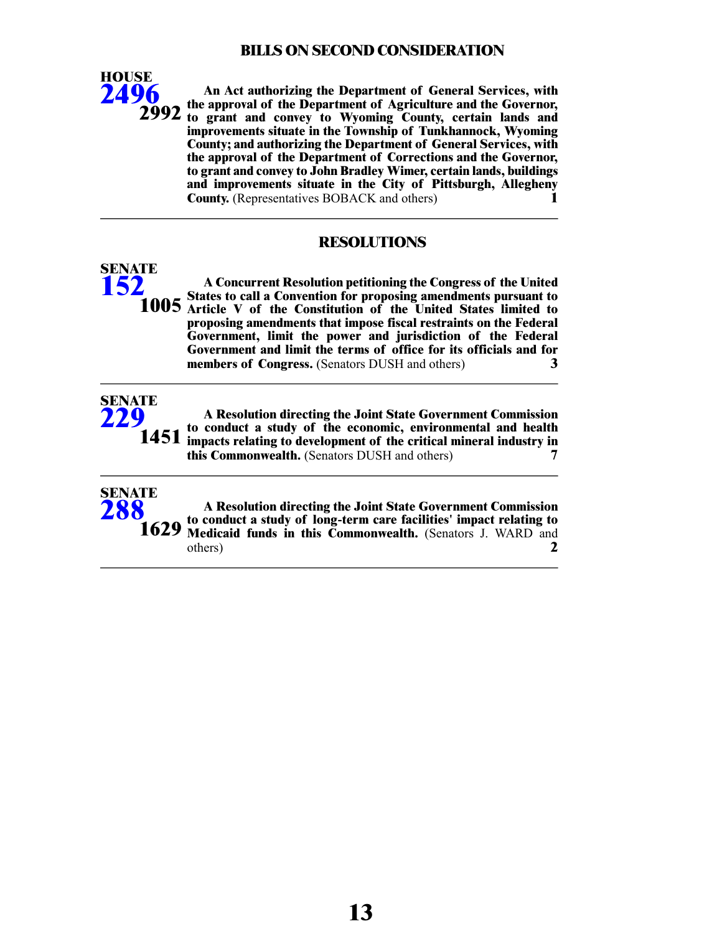

**SENATE [152](/cfdocs/billinfo/billinfo.cfm?syear=2021&sind=0&body=S&type=R&bn=152)**

**SENATE [229](/cfdocs/billinfo/billinfo.cfm?syear=2021&sind=0&body=S&type=R&bn=229)**

**SENATE [288](/cfdocs/billinfo/billinfo.cfm?syear=2021&sind=0&body=S&type=R&bn=288)**

**An Act authorizing the Department of General Services, with the approval of the Department of Agriculture and the Governor,** 2992 to grant and convey to Wyoming County, certain lands and **improvements situate in the Township of Tunkhannock, Wyoming County; and authorizing the Department of General Services, with the approval of the Department of Corrections and the Governor, to grant and convey to John Bradley Wimer, certain lands, buildings and improvements situate in the City of Pittsburgh, Allegheny County.** (Representatives BOBACK and others) **1**

#### **RESOLUTIONS**

**A Concurrent Resolution petitioning the Congress of the United States to call a Convention for proposing amendments pursuant to 1005** Article V of the Constitution of the United States limited to **proposing amendments that impose fiscal restraints on the Federal Government, limit the power and jurisdiction of the Federal Government and limit the terms of office for its officials and for members of Congress.** (Senators DUSH and others) **3**

**A Resolution directing the Joint State Government Commission to conduct a study of the economic, environmental and health impacts relating to development of the critical mineral industry in this Commonwealth.** (Senators DUSH and others) **7 1451**

**A Resolution directing the Joint State Government Commission to conduct a study of long-term care facilities' impact relating to Medicaid funds in this Commonwealth.** (Senators J. WARD and others) **2 1629**